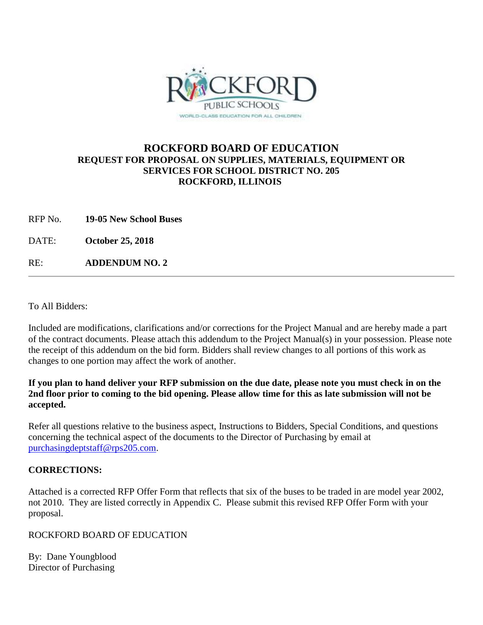

# **ROCKFORD BOARD OF EDUCATION REQUEST FOR PROPOSAL ON SUPPLIES, MATERIALS, EQUIPMENT OR SERVICES FOR SCHOOL DISTRICT NO. 205 ROCKFORD, ILLINOIS**

RFP No. **19-05 New School Buses**

DATE: **October 25, 2018**

RE: **ADDENDUM NO. 2**

To All Bidders:

Included are modifications, clarifications and/or corrections for the Project Manual and are hereby made a part of the contract documents. Please attach this addendum to the Project Manual(s) in your possession. Please note the receipt of this addendum on the bid form. Bidders shall review changes to all portions of this work as changes to one portion may affect the work of another.

## **If you plan to hand deliver your RFP submission on the due date, please note you must check in on the 2nd floor prior to coming to the bid opening. Please allow time for this as late submission will not be accepted.**

Refer all questions relative to the business aspect, Instructions to Bidders, Special Conditions, and questions concerning the technical aspect of the documents to the Director of Purchasing by email at [purchasingdeptstaff@rps205.com.](mailto:purchasingdeptstaff@rps205.com)

## **CORRECTIONS:**

Attached is a corrected RFP Offer Form that reflects that six of the buses to be traded in are model year 2002, not 2010. They are listed correctly in Appendix C. Please submit this revised RFP Offer Form with your proposal.

## ROCKFORD BOARD OF EDUCATION

By: Dane Youngblood Director of Purchasing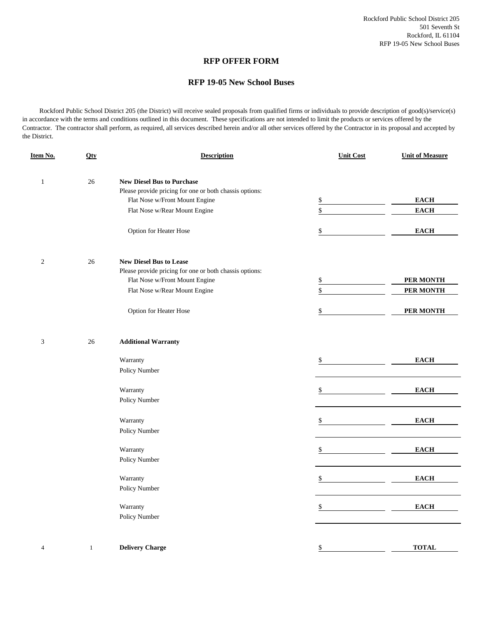### **RFP OFFER FORM**

#### **RFP 19-05 New School Buses**

 Rockford Public School District 205 (the District) will receive sealed proposals from qualified firms or individuals to provide description of good(s)/service(s) in accordance with the terms and conditions outlined in this document. These specifications are not intended to limit the products or services offered by the Contractor. The contractor shall perform, as required, all services described herein and/or all other services offered by the Contractor in its proposal and accepted by the District.

| Item No.       | <b>Qty</b>   | <b>Description</b>                                      | <b>Unit Cost</b> | <b>Unit of Measure</b>                     |
|----------------|--------------|---------------------------------------------------------|------------------|--------------------------------------------|
| $\mathbf{1}$   | 26           | <b>New Diesel Bus to Purchase</b>                       |                  |                                            |
|                |              | Please provide pricing for one or both chassis options: |                  |                                            |
|                |              | Flat Nose w/Front Mount Engine                          | \$               | $\mathbf{E}\mathbf{A}\mathbf{C}\mathbf{H}$ |
|                |              | Flat Nose w/Rear Mount Engine                           | \$               | <b>EACH</b>                                |
|                |              |                                                         |                  |                                            |
|                |              | Option for Heater Hose                                  | \$               | <b>EACH</b>                                |
| $\sqrt{2}$     | 26           | <b>New Diesel Bus to Lease</b>                          |                  |                                            |
|                |              | Please provide pricing for one or both chassis options: |                  |                                            |
|                |              | Flat Nose w/Front Mount Engine                          | \$               | PER MONTH                                  |
|                |              | Flat Nose w/Rear Mount Engine                           | \$               | <b>PER MONTH</b>                           |
|                |              |                                                         | \$               | PER MONTH                                  |
|                |              | Option for Heater Hose                                  |                  |                                            |
| $\mathfrak{Z}$ | 26           | <b>Additional Warranty</b>                              |                  |                                            |
|                |              | Warranty                                                | \$               | <b>EACH</b>                                |
|                |              | Policy Number                                           |                  |                                            |
|                |              | Warranty                                                | \$               | <b>EACH</b>                                |
|                |              | Policy Number                                           |                  |                                            |
|                |              | Warranty                                                | \$               | <b>EACH</b>                                |
|                |              | Policy Number                                           |                  |                                            |
|                |              | Warranty                                                | \$               | <b>EACH</b>                                |
|                |              | Policy Number                                           |                  |                                            |
|                |              | Warranty                                                | \$               | $\mathbf{E}\mathbf{A}\mathbf{C}\mathbf{H}$ |
|                |              | Policy Number                                           |                  |                                            |
|                |              | Warranty                                                | \$               | <b>EACH</b>                                |
|                |              | Policy Number                                           |                  |                                            |
|                |              |                                                         |                  |                                            |
| $\overline{4}$ | $\mathbf{1}$ | <b>Delivery Charge</b>                                  | \$               | <b>TOTAL</b>                               |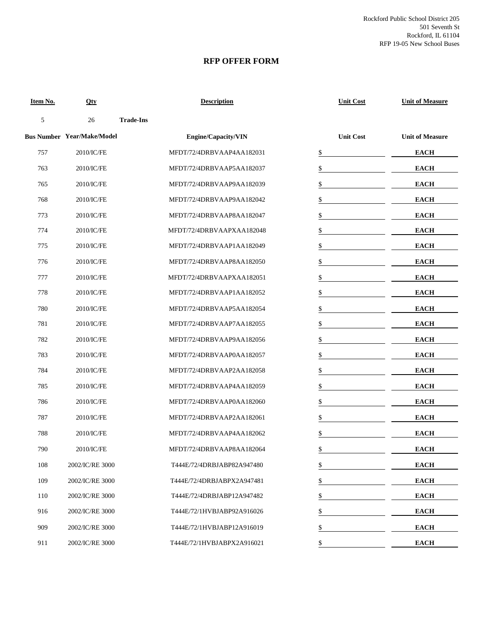Rockford Public School District 205 501 Seventh St Rockford, IL 61104 RFP 19-05 New School Buses

### **RFP OFFER FORM**

| Item No. | Qty                               | <b>Description</b>         | <b>Unit Cost</b> | <b>Unit of Measure</b> |
|----------|-----------------------------------|----------------------------|------------------|------------------------|
| 5        | 26                                | <b>Trade-Ins</b>           |                  |                        |
|          | <b>Bus Number Year/Make/Model</b> | Engine/Capacity/VIN        | <b>Unit Cost</b> | <b>Unit of Measure</b> |
| 757      | 2010/IC/FE                        | MFDT/72/4DRBVAAP4AA182031  | \$               | <b>EACH</b>            |
| 763      | 2010/IC/FE                        | MFDT/72/4DRBVAAP5AA182037  | \$               | <b>EACH</b>            |
| 765      | 2010/IC/FE                        | MFDT/72/4DRBVAAP9AA182039  | \$               | <b>EACH</b>            |
| 768      | 2010/IC/FE                        | MFDT/72/4DRBVAAP9AA182042  | \$               | <b>EACH</b>            |
| 773      | 2010/IC/FE                        | MFDT/72/4DRBVAAP8AA182047  | \$               | <b>EACH</b>            |
| 774      | 2010/IC/FE                        | MFDT/72/4DRBVAAPXAA182048  | \$               | <b>EACH</b>            |
| 775      | 2010/IC/FE                        | MFDT/72/4DRBVAAP1AA182049  | \$               | <b>EACH</b>            |
| 776      | 2010/IC/FE                        | MFDT/72/4DRBVAAP8AA182050  | \$               | <b>EACH</b>            |
| 777      | 2010/IC/FE                        | MFDT/72/4DRBVAAPXAA182051  | \$               | <b>EACH</b>            |
| 778      | 2010/IC/FE                        | MFDT/72/4DRBVAAP1AA182052  | \$               | <b>EACH</b>            |
| 780      | 2010/IC/FE                        | MFDT/72/4DRBVAAP5AA182054  | \$               | <b>EACH</b>            |
| 781      | 2010/IC/FE                        | MFDT/72/4DRBVAAP7AA182055  | \$               | <b>EACH</b>            |
| 782      | 2010/IC/FE                        | MFDT/72/4DRBVAAP9AA182056  | \$               | <b>EACH</b>            |
| 783      | 2010/IC/FE                        | MFDT/72/4DRBVAAP0AA182057  | \$               | <b>EACH</b>            |
| 784      | 2010/IC/FE                        | MFDT/72/4DRBVAAP2AA182058  | \$               | <b>EACH</b>            |
| 785      | 2010/IC/FE                        | MFDT/72/4DRBVAAP4AA182059  | \$               | <b>EACH</b>            |
| 786      | 2010/IC/FE                        | MFDT/72/4DRBVAAP0AA182060  | \$               | <b>EACH</b>            |
| 787      | 2010/IC/FE                        | MFDT/72/4DRBVAAP2AA182061  | \$               | <b>EACH</b>            |
| 788      | 2010/IC/FE                        | MFDT/72/4DRBVAAP4AA182062  | \$               | <b>EACH</b>            |
| 790      | 2010/IC/FE                        | MFDT/72/4DRBVAAP8AA182064  | \$               | <b>EACH</b>            |
| 108      | 2002/IC/RE 3000                   | T444E/72/4DRBJABP82A947480 | \$               | <b>EACH</b>            |
| 109      | 2002/IC/RE 3000                   | T444E/72/4DRBJABPX2A947481 | \$               | <b>EACH</b>            |
| 110      | 2002/IC/RE 3000                   | T444E/72/4DRBJABP12A947482 | \$               | <b>EACH</b>            |
| 916      | 2002/IC/RE 3000                   | T444E/72/1HVBJABP92A916026 | \$               | <b>EACH</b>            |
| 909      | 2002/IC/RE 3000                   | T444E/72/1HVBJABP12A916019 | \$               | <b>EACH</b>            |
| 911      | 2002/IC/RE 3000                   | T444E/72/1HVBJABPX2A916021 | \$               | <b>EACH</b>            |